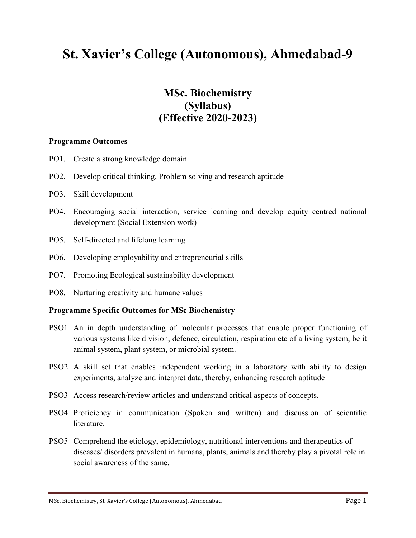# **St. Xavier's College (Autonomous), Ahmedabad-9**

## **MSc. Biochemistry (Syllabus) (Effective 2020-2023)**

#### **Programme Outcomes**

- PO1. Create a strong knowledge domain
- PO2. Develop critical thinking, Problem solving and research aptitude
- PO3. Skill development
- PO4. Encouraging social interaction, service learning and develop equity centred national development (Social Extension work)
- PO5. Self-directed and lifelong learning
- PO6. Developing employability and entrepreneurial skills
- PO7. Promoting Ecological sustainability development
- PO8. Nurturing creativity and humane values

#### **Programme Specific Outcomes for MSc Biochemistry**

- PSO1 An in depth understanding of molecular processes that enable proper functioning of various systems like division, defence, circulation, respiration etc of a living system, be it animal system, plant system, or microbial system.
- PSO2 A skill set that enables independent working in a laboratory with ability to design experiments, analyze and interpret data, thereby, enhancing research aptitude
- PSO3 Access research/review articles and understand critical aspects of concepts.
- PSO4 Proficiency in communication (Spoken and written) and discussion of scientific **literature**
- PSO5 Comprehend the etiology, epidemiology, nutritional interventions and therapeutics of diseases/ disorders prevalent in humans, plants, animals and thereby play a pivotal role in social awareness of the same.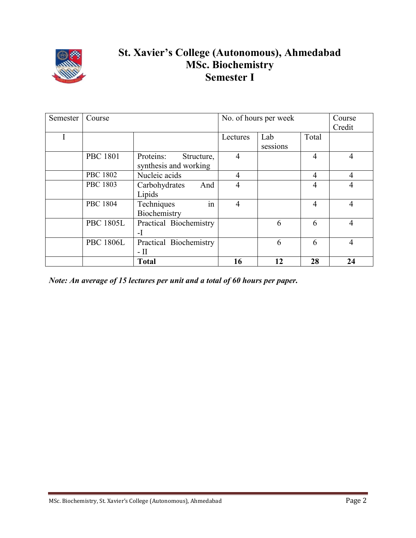

## **St. Xavier's College (Autonomous), Ahmedabad MSc. Biochemistry Semester I**

| Semester | Course           |                         | No. of hours per week |          |                | Course         |
|----------|------------------|-------------------------|-----------------------|----------|----------------|----------------|
|          |                  |                         |                       |          |                | Credit         |
| 1        |                  |                         | Lectures              | Lab      | Total          |                |
|          |                  |                         |                       | sessions |                |                |
|          | <b>PBC 1801</b>  | Proteins:<br>Structure, | $\overline{4}$        |          | $\overline{4}$ | 4              |
|          |                  | synthesis and working   |                       |          |                |                |
|          | <b>PBC 1802</b>  | Nucleic acids           | $\overline{4}$        |          | $\overline{4}$ | $\overline{4}$ |
|          | <b>PBC 1803</b>  | Carbohydrates<br>And    | $\overline{4}$        |          | $\overline{4}$ | 4              |
|          |                  | Lipids                  |                       |          |                |                |
|          | <b>PBC 1804</b>  | in<br>Techniques        | $\overline{4}$        |          | $\overline{4}$ | $\overline{4}$ |
|          |                  | Biochemistry            |                       |          |                |                |
|          | <b>PBC 1805L</b> | Practical Biochemistry  |                       | 6        | 6              | $\overline{4}$ |
|          |                  | $-I$                    |                       |          |                |                |
|          | <b>PBC 1806L</b> | Practical Biochemistry  |                       | 6        | 6              | 4              |
|          |                  | $-$ II                  |                       |          |                |                |
|          |                  | <b>Total</b>            | 16                    | 12       | 28             | 24             |

*Note: An average of 15 lectures per unit and a total of 60 hours per paper.*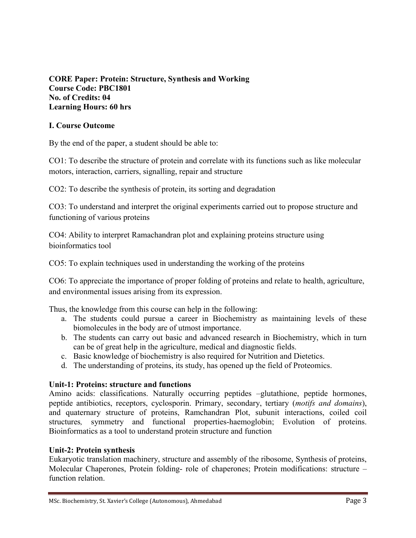**CORE Paper: Protein: Structure, Synthesis and Working Course Code: PBC1801 No. of Credits: 04 Learning Hours: 60 hrs**

#### **I. Course Outcome**

By the end of the paper, a student should be able to:

CO1: To describe the structure of protein and correlate with its functions such as like molecular motors, interaction, carriers, signalling, repair and structure

CO2: To describe the synthesis of protein, its sorting and degradation

CO3: To understand and interpret the original experiments carried out to propose structure and functioning of various proteins

CO4: Ability to interpret Ramachandran plot and explaining proteins structure using bioinformatics tool

CO5: To explain techniques used in understanding the working of the proteins

CO6: To appreciate the importance of proper folding of proteins and relate to health, agriculture, and environmental issues arising from its expression.

Thus, the knowledge from this course can help in the following:

- a. The students could pursue a career in Biochemistry as maintaining levels of these biomolecules in the body are of utmost importance.
- b. The students can carry out basic and advanced research in Biochemistry, which in turn can be of great help in the agriculture, medical and diagnostic fields.
- c. Basic knowledge of biochemistry is also required for Nutrition and Dietetics.
- d. The understanding of proteins, its study, has opened up the field of Proteomics.

#### **Unit-1: Proteins: structure and functions**

Amino acids: classifications. Naturally occurring peptides –glutathione, peptide hormones, peptide antibiotics, receptors, cyclosporin. Primary, secondary, tertiary (*motifs and domains*), and quaternary structure of proteins, Ramchandran Plot, subunit interactions, coiled coil structures*,* symmetry and functional properties-haemoglobin; Evolution of proteins. Bioinformatics as a tool to understand protein structure and function

#### **Unit-2: Protein synthesis**

Eukaryotic translation machinery, structure and assembly of the ribosome, Synthesis of proteins, Molecular Chaperones, Protein folding- role of chaperones; Protein modifications: structure – function relation.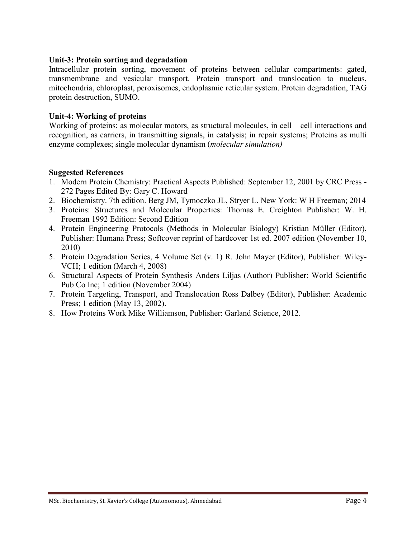#### **Unit-3: Protein sorting and degradation**

Intracellular protein sorting, movement of proteins between cellular compartments: gated, transmembrane and vesicular transport. Protein transport and translocation to nucleus, mitochondria, chloroplast, peroxisomes, endoplasmic reticular system. Protein degradation, TAG protein destruction, SUMO.

#### **Unit-4: Working of proteins**

Working of proteins: as molecular motors, as structural molecules, in cell – cell interactions and recognition, as carriers, in transmitting signals, in catalysis; in repair systems; Proteins as multi enzyme complexes; single molecular dynamism (*molecular simulation)*

#### **Suggested References**

- 1. Modern Protein Chemistry: Practical Aspects Published: September 12, 2001 by CRC Press 272 Pages Edited By: Gary C. Howard
- 2. Biochemistry. 7th edition. Berg JM, Tymoczko JL, Stryer L. New York: W H Freeman; 2014
- 3. Proteins: Structures and Molecular Properties: Thomas E. Creighton Publisher: W. H. Freeman 1992 Edition: Second Edition
- 4. Protein Engineering Protocols (Methods in Molecular Biology) Kristian Müller (Editor), Publisher: Humana Press; Softcover reprint of hardcover 1st ed. 2007 edition (November 10, 2010)
- 5. Protein Degradation Series, 4 Volume Set (v. 1) R. John Mayer (Editor), Publisher: Wiley-VCH; 1 edition (March 4, 2008)
- 6. Structural Aspects of Protein Synthesis Anders Liljas (Author) Publisher: World Scientific Pub Co Inc; 1 edition (November 2004)
- 7. Protein Targeting, Transport, and Translocation Ross Dalbey (Editor), Publisher: Academic Press; 1 edition (May 13, 2002).
- 8. How Proteins Work Mike Williamson, Publisher: Garland Science, 2012.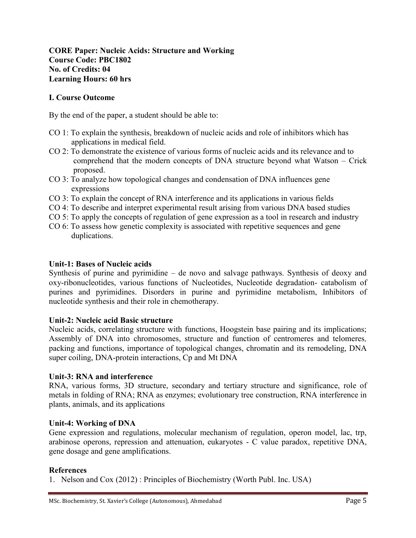### **CORE Paper: Nucleic Acids: Structure and Working Course Code: PBC1802 No. of Credits: 04 Learning Hours: 60 hrs**

#### **I. Course Outcome**

By the end of the paper, a student should be able to:

- CO 1: To explain the synthesis, breakdown of nucleic acids and role of inhibitors which has applications in medical field.
- CO 2: To demonstrate the existence of various forms of nucleic acids and its relevance and to comprehend that the modern concepts of DNA structure beyond what Watson – Crick proposed.
- CO 3: To analyze how topological changes and condensation of DNA influences gene expressions
- CO 3: To explain the concept of RNA interference and its applications in various fields
- CO 4: To describe and interpret experimental result arising from various DNA based studies
- CO 5: To apply the concepts of regulation of gene expression as a tool in research and industry
- CO 6: To assess how genetic complexity is associated with repetitive sequences and gene duplications.

#### **Unit-1: Bases of Nucleic acids**

Synthesis of purine and pyrimidine – de novo and salvage pathways. Synthesis of deoxy and oxy-ribonucleotides, various functions of Nucleotides, Nucleotide degradation- catabolism of purines and pyrimidines. Disorders in purine and pyrimidine metabolism, Inhibitors of nucleotide synthesis and their role in chemotherapy.

#### **Unit-2: Nucleic acid Basic structure**

Nucleic acids, correlating structure with functions, Hoogstein base pairing and its implications; Assembly of DNA into chromosomes, structure and function of centromeres and telomeres*,*  packing and functions, importance of topological changes, chromatin and its remodeling, DNA super coiling, DNA-protein interactions, Cp and Mt DNA

#### **Unit-3: RNA and interference**

RNA, various forms, 3D structure, secondary and tertiary structure and significance, role of metals in folding of RNA; RNA as enzymes; evolutionary tree construction, RNA interference in plants, animals, and its applications

#### **Unit-4: Working of DNA**

Gene expression and regulations, molecular mechanism of regulation, operon model, lac, trp, arabinose operons, repression and attenuation, eukaryotes - C value paradox, repetitive DNA, gene dosage and gene amplifications.

#### **References**

1. Nelson and Cox (2012) : Principles of Biochemistry (Worth Publ. Inc. USA)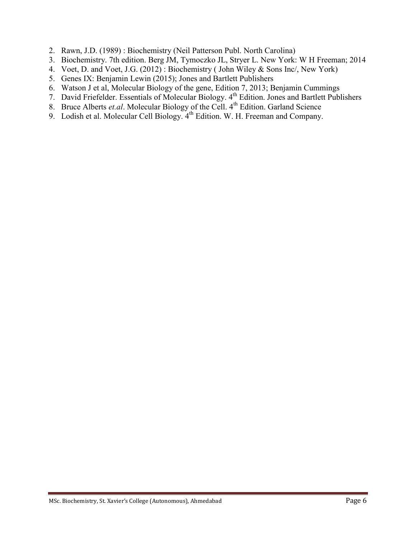- 2. Rawn, J.D. (1989) : Biochemistry (Neil Patterson Publ. North Carolina)
- 3. Biochemistry. 7th edition. Berg JM, Tymoczko JL, Stryer L. New York: W H Freeman; 2014
- 4. Voet, D. and Voet, J.G. (2012) : Biochemistry ( John Wiley & Sons Inc/, New York)
- 5. Genes IX: Benjamin Lewin (2015); Jones and Bartlett Publishers
- 6. Watson J et al, Molecular Biology of the gene, Edition 7, 2013; Benjamin Cummings
- 7. David Friefelder. Essentials of Molecular Biology. 4<sup>th</sup> Edition. Jones and Bartlett Publishers
- 8. Bruce Alberts *et.al*. Molecular Biology of the Cell. 4<sup>th</sup> Edition. Garland Science
- 9. Lodish et al. Molecular Cell Biology. 4<sup>th</sup> Edition. W. H. Freeman and Company.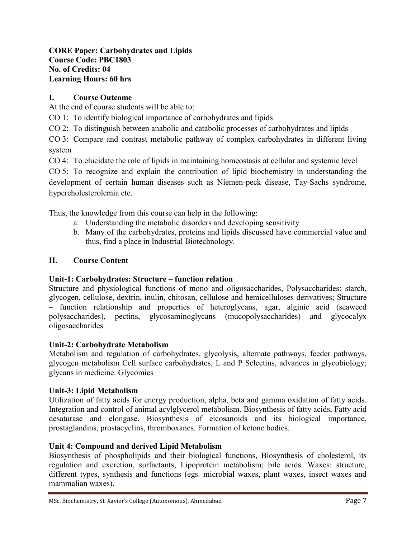## **CORE Paper: Carbohydrates and Lipids Course Code: PBC1803 No. of Credits: 04 Learning Hours: 60 hrs**

## **I. Course Outcome**

At the end of course students will be able to:

CO 1: To identify biological importance of carbohydrates and lipids

CO 2: To distinguish between anabolic and catabolic processes of carbohydrates and lipids

CO 3: Compare and contrast metabolic pathway of complex carbohydrates in different living system

CO 4: To elucidate the role of lipids in maintaining homeostasis at cellular and systemic level

CO 5: To recognize and explain the contribution of lipid biochemistry in understanding the development of certain human diseases such as Niemen-peck disease, Tay-Sachs syndrome, hypercholesterolemia etc.

Thus, the knowledge from this course can help in the following:

- a. Understanding the metabolic disorders and developing sensitivity
- b. Many of the carbohydrates, proteins and lipids discussed have commercial value and thus, find a place in Industrial Biotechnology.

## **II. Course Content**

## **Unit-1: Carbohydrates: Structure – function relation**

Structure and physiological functions of mono and oligosaccharides, Polysaccharides: starch, glycogen, cellulose, dextrin, inulin, chitosan, cellulose and hemicelluloses derivatives; Structure – function relationship and properties of heteroglycans, agar, alginic acid (seaweed polysaccharides), pectins, glycosaminoglycans (mucopolysaccharides) and glycocalyx oligosaccharides

## **Unit-2: Carbohydrate Metabolism**

Metabolism and regulation of carbohydrates, glycolysis, alternate pathways, feeder pathways, glycogen metabolism Cell surface carbohydrates, L and P Selectins, advances in glycobiology; glycans in medicine. Glycomics

## **Unit-3: Lipid Metabolism**

Utilization of fatty acids for energy production, alpha, beta and gamma oxidation of fatty acids. Integration and control of animal acylglycerol metabolism. Biosynthesis of fatty acids, Fatty acid desaturase and elongase. Biosynthesis of eicosanoids and its biological importance, prostaglandins, prostacyclins, thromboxanes. Formation of ketone bodies.

## **Unit 4: Compound and derived Lipid Metabolism**

Biosynthesis of phospholipids and their biological functions, Biosynthesis of cholesterol, its regulation and excretion, surfactants, Lipoprotein metabolism; bile acids. Waxes: structure, different types, synthesis and functions (egs. microbial waxes, plant waxes, insect waxes and mammalian waxes).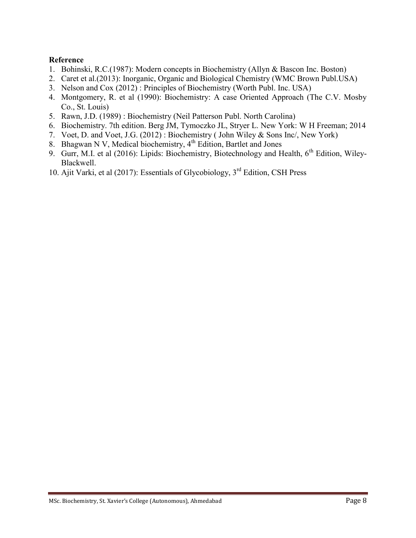## **Reference**

- 1. Bohinski, R.C.(1987): Modern concepts in Biochemistry (Allyn & Bascon Inc. Boston)
- 2. Caret et al.(2013): Inorganic, Organic and Biological Chemistry (WMC Brown Publ.USA)
- 3. Nelson and Cox (2012) : Principles of Biochemistry (Worth Publ. Inc. USA)
- 4. Montgomery, R. et al (1990): Biochemistry: A case Oriented Approach (The C.V. Mosby Co., St. Louis)
- 5. Rawn, J.D. (1989) : Biochemistry (Neil Patterson Publ. North Carolina)
- 6. Biochemistry. 7th edition. Berg JM, Tymoczko JL, Stryer L. New York: W H Freeman; 2014
- 7. Voet, D. and Voet, J.G. (2012) : Biochemistry ( John Wiley & Sons Inc/, New York)
- 8. Bhagwan N V, Medical biochemistry,  $4<sup>th</sup>$  Edition, Bartlet and Jones
- 9. Gurr, M.I. et al (2016): Lipids: Biochemistry, Biotechnology and Health, 6<sup>th</sup> Edition, Wiley-Blackwell.
- 10. Ajit Varki, et al (2017): Essentials of Glycobiology, 3rd Edition, CSH Press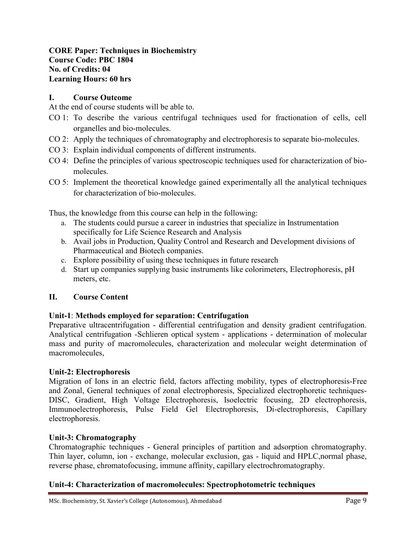## **CORE Paper: Techniques in Biochemistry Course Code: PBC 1804 No. of Credits: 04 Learning Hours: 60 hrs**

#### **I. Course Outcome**

At the end of course students will be able to.

- CO 1: To describe the various centrifugal techniques used for fractionation of cells, cell organelles and bio-molecules.
- CO 2: Apply the techniques of chromatography and electrophoresis to separate bio-molecules.
- CO 3: Explain individual components of different instruments.
- CO 4: Define the principles of various spectroscopic techniques used for characterization of biomolecules.
- CO 5: Implement the theoretical knowledge gained experimentally all the analytical techniques for characterization of bio-molecules.

Thus, the knowledge from this course can help in the following:

- a. The students could pursue a career in industries that specialize in Instrumentation specifically for Life Science Research and Analysis
- b. Avail jobs in Production, Quality Control and Research and Development divisions of Pharmaceutical and Biotech companies.
- c. Explore possibility of using these techniques in future research
- d. Start up companies supplying basic instruments like colorimeters, Electrophoresis, pH meters, etc.

## **II. Course Content**

## **Unit-1**: **Methods employed for separation: Centrifugation**

Preparative ultracentrifugation - differential centrifugation and density gradient centrifugation. Analytical centrifugation -Schlieren optical system - applications - determination of molecular mass and purity of macromolecules, characterization and molecular weight determination of macromolecules,

#### **Unit-2: Electrophoresis**

Migration of Ions in an electric field, factors affecting mobility, types of electrophoresis-Free and Zonal, General techniques of zonal electrophoresis, Specialized electrophoretic techniques-DISC, Gradient, High Voltage Electrophoresis, Isoelectric focusing, 2D electrophoresis, Immunoelectrophoresis, Pulse Field Gel Electrophoresis, Di-electrophoresis, Capillary electrophoresis.

## **Unit-3: Chromatography**

Chromatographic techniques - General principles of partition and adsorption chromatography. Thin layer, column, ion - exchange, molecular exclusion, gas - liquid and HPLC,normal phase, reverse phase, chromatofocusing, immune affinity, capillary electrochromatography.

## **Unit-4: Characterization of macromolecules: Spectrophotometric techniques**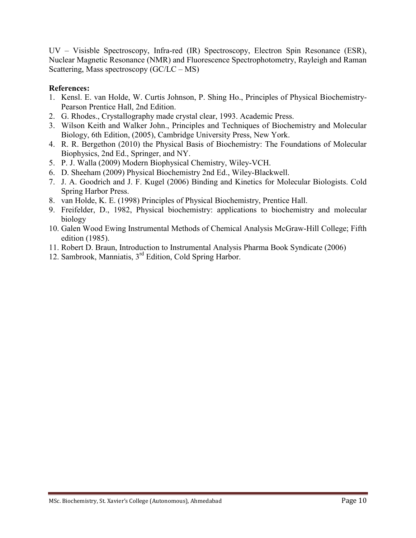UV – Visisble Spectroscopy, Infra-red (IR) Spectroscopy, Electron Spin Resonance (ESR), Nuclear Magnetic Resonance (NMR) and Fluorescence Spectrophotometry, Rayleigh and Raman Scattering, Mass spectroscopy (GC/LC – MS)

- 1. Kensl. E. van Holde, W. Curtis Johnson, P. Shing Ho., Principles of Physical Biochemistry-Pearson Prentice Hall, 2nd Edition.
- 2. G. Rhodes., Crystallography made crystal clear, 1993. Academic Press.
- 3. Wilson Keith and Walker John., Principles and Techniques of Biochemistry and Molecular Biology, 6th Edition, (2005), Cambridge University Press, New York.
- 4. R. R. Bergethon (2010) the Physical Basis of Biochemistry: The Foundations of Molecular Biophysics, 2nd Ed., Springer, and NY.
- 5. P. J. Walla (2009) Modern Biophysical Chemistry, Wiley-VCH.
- 6. D. Sheeham (2009) Physical Biochemistry 2nd Ed., Wiley-Blackwell.
- 7. J. A. Goodrich and J. F. Kugel (2006) Binding and Kinetics for Molecular Biologists. Cold Spring Harbor Press.
- 8. van Holde, K. E. (1998) Principles of Physical Biochemistry, Prentice Hall.
- 9. Freifelder, D., 1982, Physical biochemistry: applications to biochemistry and molecular biology
- 10. Galen Wood Ewing Instrumental Methods of Chemical Analysis McGraw-Hill College; Fifth edition (1985).
- 11. Robert D. Braun, Introduction to Instrumental Analysis Pharma Book Syndicate (2006)
- 12. Sambrook, Manniatis, 3rd Edition, Cold Spring Harbor.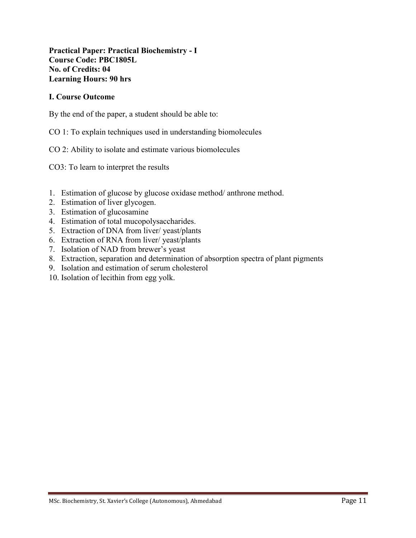## **Practical Paper: Practical Biochemistry - I Course Code: PBC1805L No. of Credits: 04 Learning Hours: 90 hrs**

#### **I. Course Outcome**

By the end of the paper, a student should be able to:

CO 1: To explain techniques used in understanding biomolecules

CO 2: Ability to isolate and estimate various biomolecules

CO3: To learn to interpret the results

- 1. Estimation of glucose by glucose oxidase method/ anthrone method.
- 2. Estimation of liver glycogen.
- 3. Estimation of glucosamine
- 4. Estimation of total mucopolysaccharides.
- 5. Extraction of DNA from liver/ yeast/plants
- 6. Extraction of RNA from liver/ yeast/plants
- 7. Isolation of NAD from brewer's yeast
- 8. Extraction, separation and determination of absorption spectra of plant pigments
- 9. Isolation and estimation of serum cholesterol
- 10. Isolation of lecithin from egg yolk.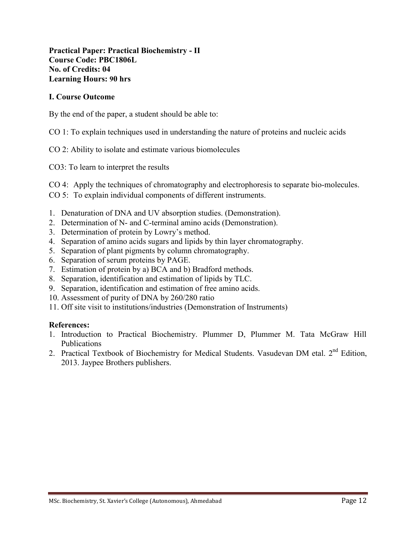**Practical Paper: Practical Biochemistry - II Course Code: PBC1806L No. of Credits: 04 Learning Hours: 90 hrs**

#### **I. Course Outcome**

By the end of the paper, a student should be able to:

- CO 1: To explain techniques used in understanding the nature of proteins and nucleic acids
- CO 2: Ability to isolate and estimate various biomolecules
- CO3: To learn to interpret the results
- CO 4: Apply the techniques of chromatography and electrophoresis to separate bio-molecules.
- CO 5: To explain individual components of different instruments.
- 1. Denaturation of DNA and UV absorption studies. (Demonstration).
- 2. Determination of N- and C-terminal amino acids (Demonstration).
- 3. Determination of protein by Lowry's method.
- 4. Separation of amino acids sugars and lipids by thin layer chromatography.
- 5. Separation of plant pigments by column chromatography.
- 6. Separation of serum proteins by PAGE.
- 7. Estimation of protein by a) BCA and b) Bradford methods.
- 8. Separation, identification and estimation of lipids by TLC.
- 9. Separation, identification and estimation of free amino acids.
- 10. Assessment of purity of DNA by 260/280 ratio
- 11. Off site visit to institutions/industries (Demonstration of Instruments)

- 1. Introduction to Practical Biochemistry. Plummer D, Plummer M. Tata McGraw Hill Publications
- 2. Practical Textbook of Biochemistry for Medical Students. Vasudevan DM etal. 2<sup>nd</sup> Edition, 2013. Jaypee Brothers publishers.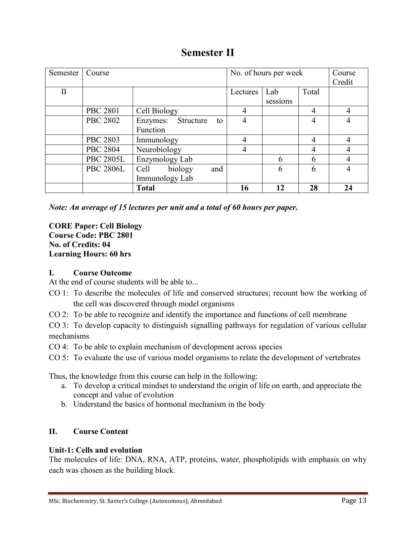## **Semester II**

| Semester     | Course           |                    | No. of hours per week |          |          | Course |                |
|--------------|------------------|--------------------|-----------------------|----------|----------|--------|----------------|
|              |                  |                    |                       |          |          |        | Credit         |
| $\mathbf{I}$ |                  |                    |                       | Lectures | Lab      | Total  |                |
|              |                  |                    |                       |          | sessions |        |                |
|              | <b>PBC 2801</b>  | Cell Biology       |                       | 4        |          | 4      | $\overline{4}$ |
|              | <b>PBC 2802</b>  | Enzymes: Structure | to                    | 4        |          | 4      | 4              |
|              |                  | Function           |                       |          |          |        |                |
|              | <b>PBC 2803</b>  | Immunology         |                       | 4        |          | 4      | 4              |
|              | <b>PBC 2804</b>  | Neurobiology       |                       | 4        |          | 4      | 4              |
|              | <b>PBC 2805L</b> | Enzymology Lab     |                       |          | 6        | 6      | 4              |
|              | <b>PBC 2806L</b> | biology<br>Cell    | and                   |          | 6        | 6      | 4              |
|              |                  | Immunology Lab     |                       |          |          |        |                |
|              |                  | <b>Total</b>       |                       | 16       | 12       | 28     | 24             |

*Note: An average of 15 lectures per unit and a total of 60 hours per paper.*

**CORE Paper: Cell Biology Course Code: PBC 2801 No. of Credits: 04 Learning Hours: 60 hrs**

## **I. Course Outcome**

At the end of course students will be able to...

- CO 1: To describe the molecules of life and conserved structures; recount how the working of the cell was discovered through model organisms
- CO 2: To be able to recognize and identify the importance and functions of cell membrane

CO 3: To develop capacity to distinguish signalling pathways for regulation of various cellular mechanisms

CO 4: To be able to explain mechanism of development across species

CO 5: To evaluate the use of various model organisms to relate the development of vertebrates

Thus, the knowledge from this course can help in the following:

- a. To develop a critical mindset to understand the origin of life on earth, and appreciate the concept and value of evolution
- b. Understand the basics of hormonal mechanism in the body

## **II. Course Content**

## **Unit-1: Cells and evolution**

The molecules of life: DNA, RNA, ATP, proteins, water, phospholipids with emphasis on why each was chosen as the building block.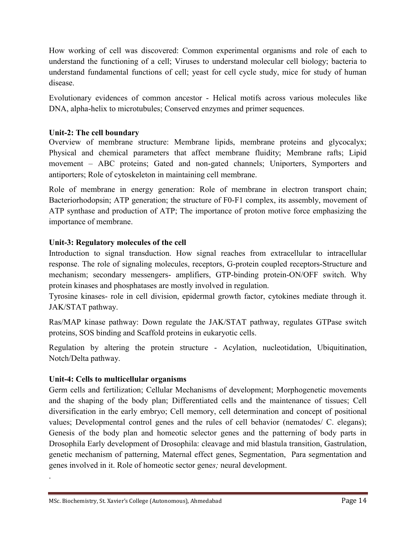How working of cell was discovered: Common experimental organisms and role of each to understand the functioning of a cell; Viruses to understand molecular cell biology; bacteria to understand fundamental functions of cell; yeast for cell cycle study, mice for study of human disease.

Evolutionary evidences of common ancestor - Helical motifs across various molecules like DNA, alpha-helix to microtubules; Conserved enzymes and primer sequences.

## **Unit-2: The cell boundary**

Overview of membrane structure: Membrane lipids, membrane proteins and glycocalyx; Physical and chemical parameters that affect membrane fluidity; Membrane rafts; Lipid movement – ABC proteins; Gated and non-gated channels; Uniporters, Symporters and antiporters; Role of cytoskeleton in maintaining cell membrane.

Role of membrane in energy generation: Role of membrane in electron transport chain; Bacteriorhodopsin; ATP generation; the structure of F0-F1 complex, its assembly, movement of ATP synthase and production of ATP; The importance of proton motive force emphasizing the importance of membrane.

## **Unit-3: Regulatory molecules of the cell**

Introduction to signal transduction. How signal reaches from extracellular to intracellular response. The role of signaling molecules, receptors, G-protein coupled receptors-Structure and mechanism; secondary messengers- amplifiers, GTP-binding protein-ON/OFF switch. Why protein kinases and phosphatases are mostly involved in regulation.

Tyrosine kinases- role in cell division, epidermal growth factor, cytokines mediate through it. JAK/STAT pathway.

Ras/MAP kinase pathway: Down regulate the JAK/STAT pathway, regulates GTPase switch proteins, SOS binding and Scaffold proteins in eukaryotic cells.

Regulation by altering the protein structure - Acylation, nucleotidation, Ubiquitination, Notch/Delta pathway.

## **Unit-4: Cells to multicellular organisms**

.

Germ cells and fertilization; Cellular Mechanisms of development; Morphogenetic movements and the shaping of the body plan; Differentiated cells and the maintenance of tissues; Cell diversification in the early embryo; Cell memory, cell determination and concept of positional values; Developmental control genes and the rules of cell behavior (nematodes/ C. elegans); Genesis of the body plan and homeotic selector genes and the patterning of body parts in Drosophila Early development of Drosophila: cleavage and mid blastula transition, Gastrulation, genetic mechanism of patterning, Maternal effect genes, Segmentation, Para segmentation and genes involved in it. Role of homeotic sector gene*s;* neural development.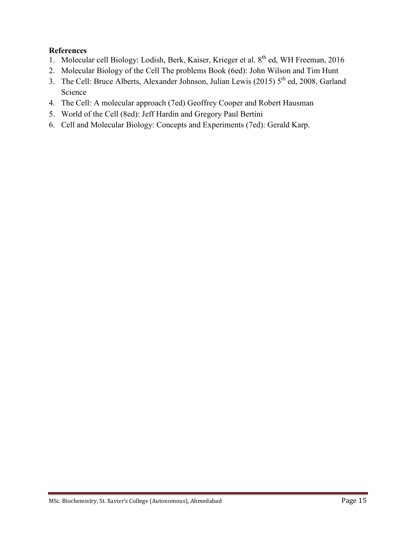- 1. Molecular cell Biology: Lodish, Berk, Kaiser, Krieger et al. 8<sup>th</sup> ed, WH Freeman, 2016
- 2. Molecular Biology of the Cell The problems Book (6ed): John Wilson and Tim Hunt
- 3. The Cell: Bruce Alberts, Alexander Johnson, Julian Lewis (2015)  $5<sup>th</sup>$  ed, 2008, Garland Science
- 4. The Cell: A molecular approach (7ed) Geoffrey Cooper and Robert Hausman
- 5. World of the Cell (8ed): Jeff Hardin and Gregory Paul Bertini
- 6. Cell and Molecular Biology: Concepts and Experiments (7ed): Gerald Karp.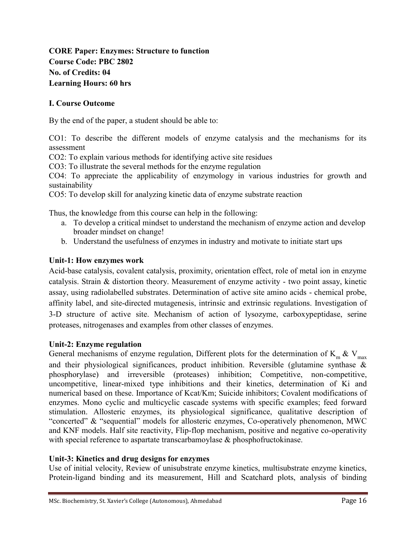## **CORE Paper: Enzymes: Structure to function Course Code: PBC 2802 No. of Credits: 04 Learning Hours: 60 hrs**

## **I. Course Outcome**

By the end of the paper, a student should be able to:

CO1: To describe the different models of enzyme catalysis and the mechanisms for its assessment

CO2: To explain various methods for identifying active site residues

CO3: To illustrate the several methods for the enzyme regulation

CO4: To appreciate the applicability of enzymology in various industries for growth and sustainability

CO5: To develop skill for analyzing kinetic data of enzyme substrate reaction

Thus, the knowledge from this course can help in the following:

- a. To develop a critical mindset to understand the mechanism of enzyme action and develop broader mindset on change!
- b. Understand the usefulness of enzymes in industry and motivate to initiate start ups

#### **Unit-1: How enzymes work**

Acid-base catalysis, covalent catalysis, proximity, orientation effect, role of metal ion in enzyme catalysis. Strain & distortion theory. Measurement of enzyme activity - two point assay, kinetic assay, using radiolabelled substrates. Determination of active site amino acids - chemical probe, affinity label, and site-directed mutagenesis, intrinsic and extrinsic regulations. Investigation of 3-D structure of active site. Mechanism of action of lysozyme, carboxypeptidase, serine proteases, nitrogenases and examples from other classes of enzymes.

#### **Unit-2: Enzyme regulation**

General mechanisms of enzyme regulation, Different plots for the determination of K<sub>m</sub> & V<sub>max</sub> and their physiological significances, product inhibition. Reversible (glutamine synthase & phosphorylase) and irreversible (proteases) inhibition; Competitive, non-competitive, uncompetitive, linear-mixed type inhibitions and their kinetics, determination of Ki and numerical based on these. Importance of Kcat/Km; Suicide inhibitors; Covalent modifications of enzymes. Mono cyclic and multicyclic cascade systems with specific examples; feed forward stimulation. Allosteric enzymes, its physiological significance, qualitative description of "concerted" & "sequential" models for allosteric enzymes, Co-operatively phenomenon, MWC and KNF models. Half site reactivity, Flip-flop mechanism, positive and negative co-operativity with special reference to aspartate transcarbamoylase & phosphofructokinase.

#### **Unit-3: Kinetics and drug designs for enzymes**

Use of initial velocity, Review of unisubstrate enzyme kinetics, multisubstrate enzyme kinetics, Protein-ligand binding and its measurement, Hill and Scatchard plots, analysis of binding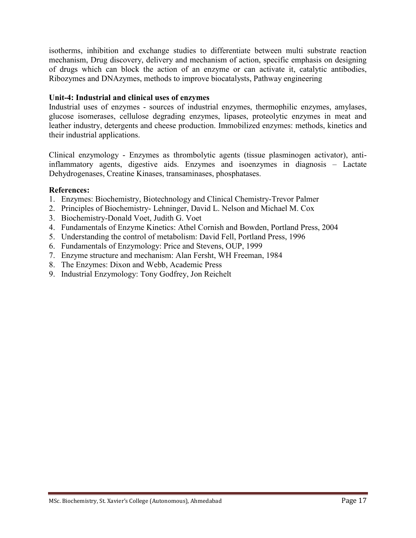isotherms, inhibition and exchange studies to differentiate between multi substrate reaction mechanism, Drug discovery, delivery and mechanism of action, specific emphasis on designing of drugs which can block the action of an enzyme or can activate it, catalytic antibodies, Ribozymes and DNAzymes, methods to improve biocatalysts, Pathway engineering

## **Unit-4: Industrial and clinical uses of enzymes**

Industrial uses of enzymes - sources of industrial enzymes, thermophilic enzymes, amylases, glucose isomerases, cellulose degrading enzymes, lipases, proteolytic enzymes in meat and leather industry, detergents and cheese production. Immobilized enzymes: methods, kinetics and their industrial applications.

Clinical enzymology - Enzymes as thrombolytic agents (tissue plasminogen activator), antiinflammatory agents, digestive aids. Enzymes and isoenzymes in diagnosis – Lactate Dehydrogenases, Creatine Kinases, transaminases, phosphatases.

- 1. Enzymes: Biochemistry, Biotechnology and Clinical Chemistry-Trevor Palmer
- 2. Principles of Biochemistry- Lehninger, David L. Nelson and Michael M. Cox
- 3. Biochemistry-Donald Voet, Judith G. Voet
- 4. Fundamentals of Enzyme Kinetics: Athel Cornish and Bowden, Portland Press, 2004
- 5. Understanding the control of metabolism: David Fell, Portland Press, 1996
- 6. Fundamentals of Enzymology: Price and Stevens, OUP, 1999
- 7. Enzyme structure and mechanism: Alan Fersht, WH Freeman, 1984
- 8. The Enzymes: Dixon and Webb, Academic Press
- 9. Industrial Enzymology: Tony Godfrey, Jon Reichelt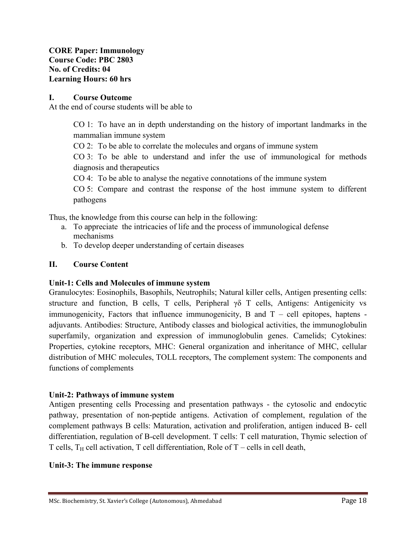**CORE Paper: Immunology Course Code: PBC 2803 No. of Credits: 04 Learning Hours: 60 hrs**

#### **I. Course Outcome**

At the end of course students will be able to

CO 1: To have an in depth understanding on the history of important landmarks in the mammalian immune system

CO 2: To be able to correlate the molecules and organs of immune system

CO 3: To be able to understand and infer the use of immunological for methods diagnosis and therapeutics

CO 4: To be able to analyse the negative connotations of the immune system

CO 5: Compare and contrast the response of the host immune system to different pathogens

Thus, the knowledge from this course can help in the following:

- a. To appreciate the intricacies of life and the process of immunological defense mechanisms
- b. To develop deeper understanding of certain diseases

#### **II. Course Content**

#### **Unit-1: Cells and Molecules of immune system**

Granulocytes: Eosinophils, Basophils, Neutrophils; Natural killer cells, Antigen presenting cells: structure and function, B cells, T cells, Peripheral  $\gamma \delta$  T cells, Antigens: Antigenicity vs immunogenicity, Factors that influence immunogenicity, B and  $T -$  cell epitopes, haptens adjuvants. Antibodies: Structure, Antibody classes and biological activities, the immunoglobulin superfamily, organization and expression of immunoglobulin genes. Camelids; Cytokines: Properties, cytokine receptors, MHC: General organization and inheritance of MHC, cellular distribution of MHC molecules, TOLL receptors, The complement system: The components and functions of complements

## **Unit-2: Pathways of immune system**

Antigen presenting cells Processing and presentation pathways - the cytosolic and endocytic pathway, presentation of non-peptide antigens. Activation of complement, regulation of the complement pathways B cells: Maturation, activation and proliferation, antigen induced B- cell differentiation, regulation of B-cell development. T cells: T cell maturation, Thymic selection of T cells,  $T_H$  cell activation, T cell differentiation, Role of T – cells in cell death,

#### **Unit-3: The immune response**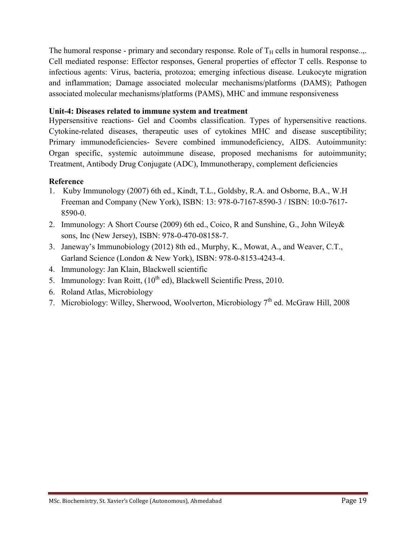The humoral response - primary and secondary response. Role of  $T_H$  cells in humoral response... Cell mediated response: Effector responses, General properties of effector T cells. Response to infectious agents: Virus, bacteria, protozoa; emerging infectious disease. Leukocyte migration and inflammation; Damage associated molecular mechanisms/platforms (DAMS); Pathogen associated molecular mechanisms/platforms (PAMS), MHC and immune responsiveness

## **Unit-4: Diseases related to immune system and treatment**

Hypersensitive reactions- Gel and Coombs classification. Types of hypersensitive reactions. Cytokine-related diseases, therapeutic uses of cytokines MHC and disease susceptibility; Primary immunodeficiencies- Severe combined immunodeficiency, AIDS. Autoimmunity: Organ specific, systemic autoimmune disease, proposed mechanisms for autoimmunity; Treatment, Antibody Drug Conjugate (ADC), Immunotherapy, complement deficiencies

## **Reference**

- 1. Kuby Immunology (2007) 6th ed., Kindt, T.L., Goldsby, R.A. and Osborne, B.A., W.H Freeman and Company (New York), ISBN: 13: 978-0-7167-8590-3 / ISBN: 10:0-7617- 8590-0.
- 2. Immunology: A Short Course (2009) 6th ed., Coico, R and Sunshine, G., John Wiley& sons, Inc (New Jersey), ISBN: 978-0-470-08158-7.
- 3. Janeway's Immunobiology (2012) 8th ed., Murphy, K., Mowat, A., and Weaver, C.T., Garland Science (London & New York), ISBN: 978-0-8153-4243-4.
- 4. Immunology: Jan Klain, Blackwell scientific
- 5. Immunology: Ivan Roitt,  $(10^{th}$  ed), Blackwell Scientific Press, 2010.
- 6. Roland Atlas, Microbiology
- 7. Microbiology: Willey, Sherwood, Woolverton, Microbiology 7<sup>th</sup> ed. McGraw Hill, 2008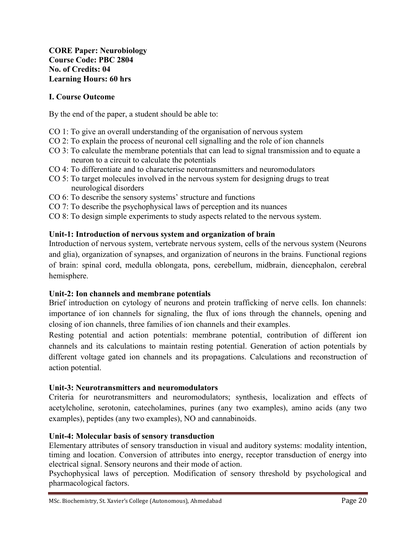**CORE Paper: Neurobiology Course Code: PBC 2804 No. of Credits: 04 Learning Hours: 60 hrs**

## **I. Course Outcome**

By the end of the paper, a student should be able to:

- CO 1: To give an overall understanding of the organisation of nervous system
- CO 2: To explain the process of neuronal cell signalling and the role of ion channels
- CO 3: To calculate the membrane potentials that can lead to signal transmission and to equate a neuron to a circuit to calculate the potentials
- CO 4: To differentiate and to characterise neurotransmitters and neuromodulators
- CO 5: To target molecules involved in the nervous system for designing drugs to treat neurological disorders
- CO 6: To describe the sensory systems' structure and functions
- CO 7: To describe the psychophysical laws of perception and its nuances
- CO 8: To design simple experiments to study aspects related to the nervous system.

#### **Unit-1: Introduction of nervous system and organization of brain**

Introduction of nervous system, vertebrate nervous system, cells of the nervous system (Neurons and glia), organization of synapses, and organization of neurons in the brains. Functional regions of brain: spinal cord, medulla oblongata, pons, cerebellum, midbrain, diencephalon, cerebral hemisphere.

#### **Unit-2: Ion channels and membrane potentials**

Brief introduction on cytology of neurons and protein trafficking of nerve cells. Ion channels: importance of ion channels for signaling, the flux of ions through the channels, opening and closing of ion channels, three families of ion channels and their examples.

Resting potential and action potentials: membrane potential, contribution of different ion channels and its calculations to maintain resting potential. Generation of action potentials by different voltage gated ion channels and its propagations. Calculations and reconstruction of action potential.

#### **Unit-3: Neurotransmitters and neuromodulators**

Criteria for neurotransmitters and neuromodulators; synthesis, localization and effects of acetylcholine, serotonin, catecholamines, purines (any two examples), amino acids (any two examples), peptides (any two examples), NO and cannabinoids.

#### **Unit-4: Molecular basis of sensory transduction**

Elementary attributes of sensory transduction in visual and auditory systems: modality intention, timing and location. Conversion of attributes into energy, receptor transduction of energy into electrical signal. Sensory neurons and their mode of action.

Psychophysical laws of perception. Modification of sensory threshold by psychological and pharmacological factors.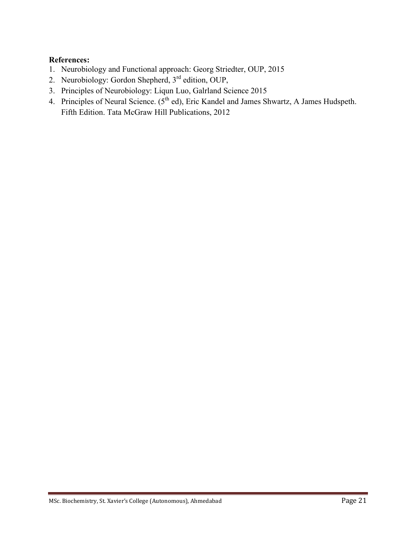- 1. Neurobiology and Functional approach: Georg Striedter, OUP, 2015
- 2. Neurobiology: Gordon Shepherd, 3rd edition, OUP,
- 3. Principles of Neurobiology: Liqun Luo, Galrland Science 2015
- 4. Principles of Neural Science. (5<sup>th</sup> ed), Eric Kandel and James Shwartz, A James Hudspeth. Fifth Edition. Tata McGraw Hill Publications, 2012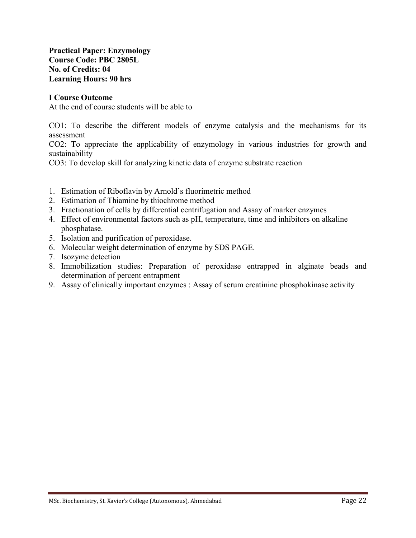**Practical Paper: Enzymology Course Code: PBC 2805L No. of Credits: 04 Learning Hours: 90 hrs**

#### **I Course Outcome**

At the end of course students will be able to

CO1: To describe the different models of enzyme catalysis and the mechanisms for its assessment

CO2: To appreciate the applicability of enzymology in various industries for growth and sustainability

CO3: To develop skill for analyzing kinetic data of enzyme substrate reaction

- 1. Estimation of Riboflavin by Arnold's fluorimetric method
- 2. Estimation of Thiamine by thiochrome method
- 3. Fractionation of cells by differential centrifugation and Assay of marker enzymes
- 4. Effect of environmental factors such as pH, temperature, time and inhibitors on alkaline phosphatase.
- 5. Isolation and purification of peroxidase.
- 6. Molecular weight determination of enzyme by SDS PAGE.
- 7. Isozyme detection
- 8. Immobilization studies: Preparation of peroxidase entrapped in alginate beads and determination of percent entrapment
- 9. Assay of clinically important enzymes : Assay of serum creatinine phosphokinase activity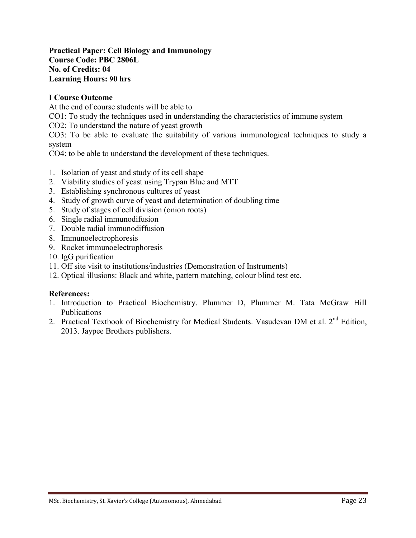#### **Practical Paper: Cell Biology and Immunology Course Code: PBC 2806L No. of Credits: 04 Learning Hours: 90 hrs**

## **I Course Outcome**

At the end of course students will be able to

CO1: To study the techniques used in understanding the characteristics of immune system

CO2: To understand the nature of yeast growth

CO3: To be able to evaluate the suitability of various immunological techniques to study a system

CO4: to be able to understand the development of these techniques.

- 1. Isolation of yeast and study of its cell shape
- 2. Viability studies of yeast using Trypan Blue and MTT
- 3. Establishing synchronous cultures of yeast
- 4. Study of growth curve of yeast and determination of doubling time
- 5. Study of stages of cell division (onion roots)
- 6. Single radial immunodifusion
- 7. Double radial immunodiffusion
- 8. Immunoelectrophoresis
- 9. Rocket immunoelectrophoresis
- 10. IgG purification
- 11. Off site visit to institutions/industries (Demonstration of Instruments)
- 12. Optical illusions: Black and white, pattern matching, colour blind test etc.

- 1. Introduction to Practical Biochemistry. Plummer D, Plummer M. Tata McGraw Hill Publications
- 2. Practical Textbook of Biochemistry for Medical Students. Vasudevan DM et al.  $2<sup>nd</sup>$  Edition, 2013. Jaypee Brothers publishers.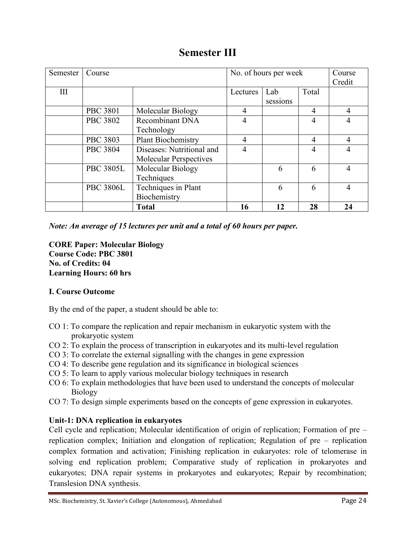## **Semester III**

| Semester | Course           |                               | No. of hours per week |          |                | Course         |
|----------|------------------|-------------------------------|-----------------------|----------|----------------|----------------|
|          |                  |                               |                       |          |                | Credit         |
| III      |                  |                               | Lectures              | Lab      | Total          |                |
|          |                  |                               |                       | sessions |                |                |
|          | <b>PBC 3801</b>  | Molecular Biology             | 4                     |          | 4              | $\overline{4}$ |
|          | <b>PBC 3802</b>  | Recombinant DNA               | 4                     |          | $\overline{4}$ | $\overline{4}$ |
|          |                  | Technology                    |                       |          |                |                |
|          | <b>PBC 3803</b>  | <b>Plant Biochemistry</b>     | 4                     |          | 4              | $\overline{4}$ |
|          | <b>PBC 3804</b>  | Diseases: Nutritional and     | $\overline{4}$        |          | 4              | $\overline{4}$ |
|          |                  | <b>Molecular Perspectives</b> |                       |          |                |                |
|          | <b>PBC 3805L</b> | Molecular Biology             |                       | 6        | 6              | $\overline{4}$ |
|          |                  | Techniques                    |                       |          |                |                |
|          | <b>PBC 3806L</b> | Techniques in Plant           |                       | 6        | 6              | $\overline{4}$ |
|          |                  | Biochemistry                  |                       |          |                |                |
|          |                  | <b>Total</b>                  | 16                    | 12       | 28             | 24             |

*Note: An average of 15 lectures per unit and a total of 60 hours per paper.*

**CORE Paper: Molecular Biology Course Code: PBC 3801 No. of Credits: 04 Learning Hours: 60 hrs**

## **I. Course Outcome**

By the end of the paper, a student should be able to:

- CO 1: To compare the replication and repair mechanism in eukaryotic system with the prokaryotic system
- CO 2: To explain the process of transcription in eukaryotes and its multi-level regulation
- CO 3: To correlate the external signalling with the changes in gene expression
- CO 4: To describe gene regulation and its significance in biological sciences
- CO 5: To learn to apply various molecular biology techniques in research
- CO 6: To explain methodologies that have been used to understand the concepts of molecular Biology
- CO 7: To design simple experiments based on the concepts of gene expression in eukaryotes.

## **Unit-1: DNA replication in eukaryotes**

Cell cycle and replication; Molecular identification of origin of replication; Formation of pre – replication complex; Initiation and elongation of replication; Regulation of pre – replication complex formation and activation; Finishing replication in eukaryotes: role of telomerase in solving end replication problem; Comparative study of replication in prokaryotes and eukaryotes; DNA repair systems in prokaryotes and eukaryotes; Repair by recombination; Translesion DNA synthesis.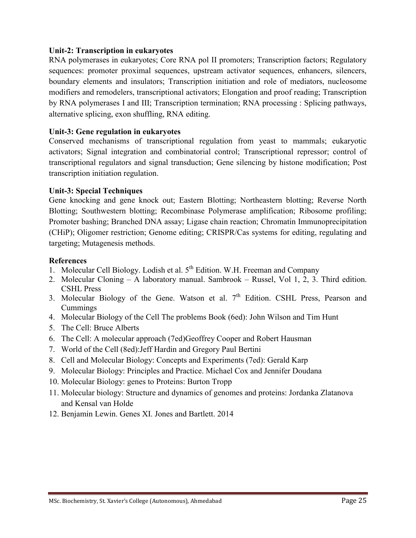### **Unit-2: Transcription in eukaryotes**

RNA polymerases in eukaryotes; Core RNA pol II promoters; Transcription factors; Regulatory sequences: promoter proximal sequences, upstream activator sequences, enhancers, silencers, boundary elements and insulators; Transcription initiation and role of mediators, nucleosome modifiers and remodelers, transcriptional activators; Elongation and proof reading; Transcription by RNA polymerases I and III; Transcription termination; RNA processing : Splicing pathways, alternative splicing, exon shuffling, RNA editing.

### **Unit-3: Gene regulation in eukaryotes**

Conserved mechanisms of transcriptional regulation from yeast to mammals; eukaryotic activators; Signal integration and combinatorial control; Transcriptional repressor; control of transcriptional regulators and signal transduction; Gene silencing by histone modification; Post transcription initiation regulation.

#### **Unit-3: Special Techniques**

Gene knocking and gene knock out; Eastern Blotting; Northeastern blotting; Reverse North Blotting; Southwestern blotting; Recombinase Polymerase amplification; Ribosome profiling; Promoter bashing; Branched DNA assay; Ligase chain reaction; Chromatin Immunoprecipitation (CHiP); Oligomer restriction; Genome editing; CRISPR/Cas systems for editing, regulating and targeting; Mutagenesis methods.

- 1. Molecular Cell Biology. Lodish et al.  $5<sup>th</sup>$  Edition. W.H. Freeman and Company
- 2. Molecular Cloning A laboratory manual. Sambrook Russel, Vol 1, 2, 3. Third edition. CSHL Press
- 3. Molecular Biology of the Gene. Watson et al.  $7<sup>th</sup>$  Edition. CSHL Press, Pearson and Cummings
- 4. Molecular Biology of the Cell The problems Book (6ed): John Wilson and Tim Hunt
- 5. The Cell: Bruce Alberts
- 6. The Cell: A molecular approach (7ed)Geoffrey Cooper and Robert Hausman
- 7. World of the Cell (8ed):Jeff Hardin and Gregory Paul Bertini
- 8. Cell and Molecular Biology: Concepts and Experiments (7ed): Gerald Karp
- 9. Molecular Biology: Principles and Practice. Michael Cox and Jennifer Doudana
- 10. Molecular Biology: genes to Proteins: Burton Tropp
- 11. Molecular biology: Structure and dynamics of genomes and proteins: Jordanka Zlatanova and Kensal van Holde
- 12. Benjamin Lewin. Genes XI. Jones and Bartlett. 2014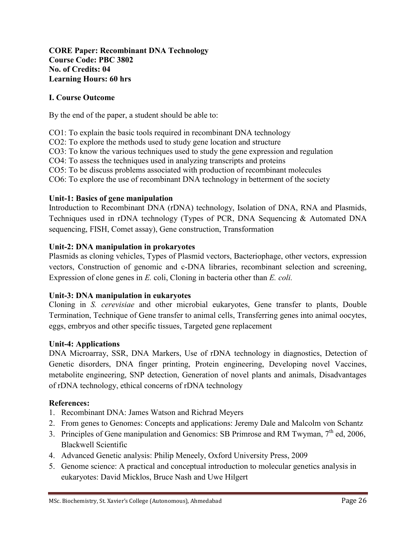## **CORE Paper: Recombinant DNA Technology Course Code: PBC 3802 No. of Credits: 04 Learning Hours: 60 hrs**

## **I. Course Outcome**

By the end of the paper, a student should be able to:

- CO1: To explain the basic tools required in recombinant DNA technology
- CO2: To explore the methods used to study gene location and structure
- CO3: To know the various techniques used to study the gene expression and regulation
- CO4: To assess the techniques used in analyzing transcripts and proteins
- CO5: To be discuss problems associated with production of recombinant molecules
- CO6: To explore the use of recombinant DNA technology in betterment of the society

#### **Unit-1: Basics of gene manipulation**

Introduction to Recombinant DNA (rDNA) technology, Isolation of DNA, RNA and Plasmids, Techniques used in rDNA technology (Types of PCR, DNA Sequencing & Automated DNA sequencing, FISH, Comet assay), Gene construction, Transformation

#### **Unit-2: DNA manipulation in prokaryotes**

Plasmids as cloning vehicles, Types of Plasmid vectors, Bacteriophage, other vectors, expression vectors, Construction of genomic and c-DNA libraries, recombinant selection and screening, Expression of clone genes in *E.* coli, Cloning in bacteria other than *E. coli.*

#### **Unit-3: DNA manipulation in eukaryotes**

Cloning in *S. cerevisiae* and other microbial eukaryotes, Gene transfer to plants, Double Termination, Technique of Gene transfer to animal cells, Transferring genes into animal oocytes, eggs, embryos and other specific tissues, Targeted gene replacement

#### **Unit-4: Applications**

DNA Microarray, SSR, DNA Markers, Use of rDNA technology in diagnostics, Detection of Genetic disorders, DNA finger printing, Protein engineering, Developing novel Vaccines, metabolite engineering, SNP detection, Generation of novel plants and animals, Disadvantages of rDNA technology, ethical concerns of rDNA technology

- 1. Recombinant DNA: James Watson and Richrad Meyers
- 2. From genes to Genomes: Concepts and applications: Jeremy Dale and Malcolm von Schantz
- 3. Principles of Gene manipulation and Genomics: SB Primrose and RM Twyman,  $7<sup>th</sup>$  ed, 2006, Blackwell Scientific
- 4. Advanced Genetic analysis: Philip Meneely, Oxford University Press, 2009
- 5. Genome science: A practical and conceptual introduction to molecular genetics analysis in eukaryotes: David Micklos, Bruce Nash and Uwe Hilgert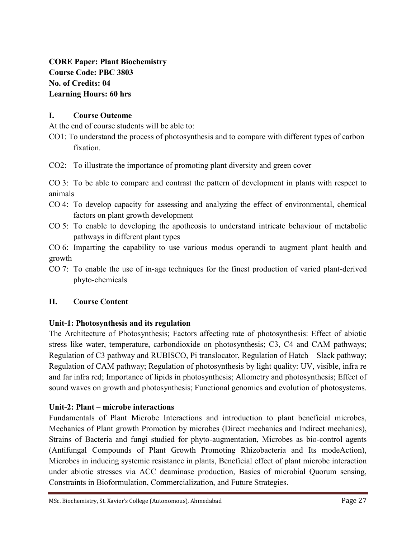**CORE Paper: Plant Biochemistry Course Code: PBC 3803 No. of Credits: 04 Learning Hours: 60 hrs**

## **I. Course Outcome**

At the end of course students will be able to:

- CO1: To understand the process of photosynthesis and to compare with different types of carbon fixation.
- CO2: To illustrate the importance of promoting plant diversity and green cover

CO 3: To be able to compare and contrast the pattern of development in plants with respect to animals

- CO 4: To develop capacity for assessing and analyzing the effect of environmental, chemical factors on plant growth development
- CO 5: To enable to developing the apotheosis to understand intricate behaviour of metabolic pathways in different plant types

CO 6: Imparting the capability to use various modus operandi to augment plant health and growth

CO 7: To enable the use of in-age techniques for the finest production of varied plant-derived phyto-chemicals

## **II. Course Content**

## **Unit-1: Photosynthesis and its regulation**

The Architecture of Photosynthesis; Factors affecting rate of photosynthesis: Effect of abiotic stress like water, temperature, carbondioxide on photosynthesis; C3, C4 and CAM pathways; Regulation of C3 pathway and RUBISCO, Pi translocator, Regulation of Hatch – Slack pathway; Regulation of CAM pathway; Regulation of photosynthesis by light quality: UV, visible, infra re and far infra red; Importance of lipids in photosynthesis; Allometry and photosynthesis; Effect of sound waves on growth and photosynthesis; Functional genomics and evolution of photosystems.

## **Unit-2: Plant – microbe interactions**

Fundamentals of Plant Microbe Interactions and introduction to plant beneficial microbes, Mechanics of Plant growth Promotion by microbes (Direct mechanics and Indirect mechanics), Strains of Bacteria and fungi studied for phyto-augmentation, Microbes as bio-control agents (Antifungal Compounds of Plant Growth Promoting Rhizobacteria and Its modeAction), Microbes in inducing systemic resistance in plants, Beneficial effect of plant microbe interaction under abiotic stresses via ACC deaminase production, Basics of microbial Quorum sensing, Constraints in Bioformulation, Commercialization, and Future Strategies.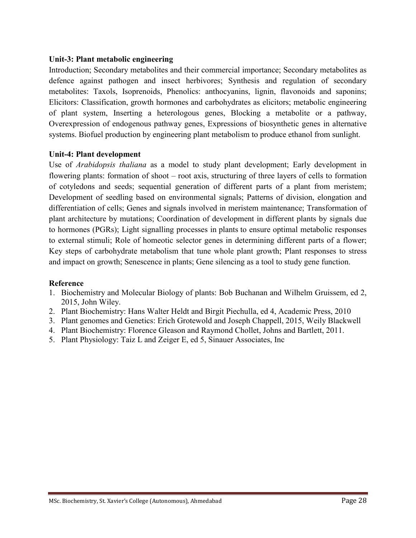#### **Unit-3: Plant metabolic engineering**

Introduction; Secondary metabolites and their commercial importance; Secondary metabolites as defence against pathogen and insect herbivores; Synthesis and regulation of secondary metabolites: Taxols, Isoprenoids, Phenolics: anthocyanins, lignin, flavonoids and saponins; Elicitors: Classification, growth hormones and carbohydrates as elicitors; metabolic engineering of plant system, Inserting a heterologous genes, Blocking a metabolite or a pathway, Overexpression of endogenous pathway genes, Expressions of biosynthetic genes in alternative systems. Biofuel production by engineering plant metabolism to produce ethanol from sunlight.

#### **Unit-4: Plant development**

Use of *Arabidopsis thaliana* as a model to study plant development; Early development in flowering plants: formation of shoot – root axis, structuring of three layers of cells to formation of cotyledons and seeds; sequential generation of different parts of a plant from meristem; Development of seedling based on environmental signals; Patterns of division, elongation and differentiation of cells; Genes and signals involved in meristem maintenance; Transformation of plant architecture by mutations; Coordination of development in different plants by signals due to hormones (PGRs); Light signalling processes in plants to ensure optimal metabolic responses to external stimuli; Role of homeotic selector genes in determining different parts of a flower; Key steps of carbohydrate metabolism that tune whole plant growth; Plant responses to stress and impact on growth; Senescence in plants; Gene silencing as a tool to study gene function.

#### **Reference**

- 1. Biochemistry and Molecular Biology of plants: Bob Buchanan and Wilhelm Gruissem, ed 2, 2015, John Wiley.
- 2. Plant Biochemistry: Hans Walter Heldt and Birgit Piechulla, ed 4, Academic Press, 2010
- 3. Plant genomes and Genetics: Erich Grotewold and Joseph Chappell, 2015, Weily Blackwell
- 4. Plant Biochemistry: Florence Gleason and Raymond Chollet, Johns and Bartlett, 2011.
- 5. Plant Physiology: Taiz L and Zeiger E, ed 5, Sinauer Associates, Inc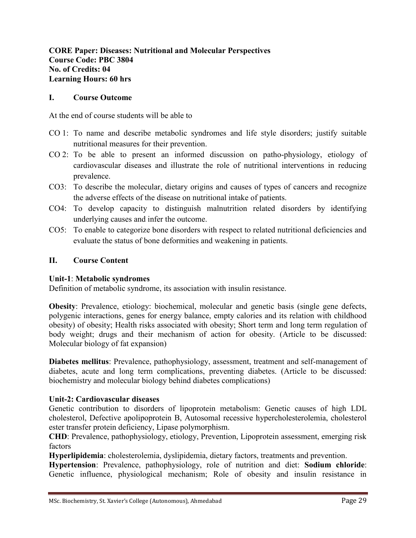## **CORE Paper: Diseases: Nutritional and Molecular Perspectives Course Code: PBC 3804 No. of Credits: 04 Learning Hours: 60 hrs**

#### **I. Course Outcome**

At the end of course students will be able to

- CO 1: To name and describe metabolic syndromes and life style disorders; justify suitable nutritional measures for their prevention.
- CO 2: To be able to present an informed discussion on patho-physiology, etiology of cardiovascular diseases and illustrate the role of nutritional interventions in reducing prevalence.
- CO3: To describe the molecular, dietary origins and causes of types of cancers and recognize the adverse effects of the disease on nutritional intake of patients.
- CO4: To develop capacity to distinguish malnutrition related disorders by identifying underlying causes and infer the outcome.
- CO5: To enable to categorize bone disorders with respect to related nutritional deficiencies and evaluate the status of bone deformities and weakening in patients.

#### **II. Course Content**

#### **Unit-1**: **Metabolic syndromes**

Definition of metabolic syndrome, its association with insulin resistance.

**Obesity**: Prevalence, etiology: biochemical, molecular and genetic basis (single gene defects, polygenic interactions, genes for energy balance, empty calories and its relation with childhood obesity) of obesity; Health risks associated with obesity; Short term and long term regulation of body weight; drugs and their mechanism of action for obesity. (Article to be discussed: Molecular biology of fat expansion)

**Diabetes mellitus**: Prevalence, pathophysiology, assessment, treatment and self-management of diabetes, acute and long term complications, preventing diabetes. (Article to be discussed: biochemistry and molecular biology behind diabetes complications)

## **Unit-2: Cardiovascular diseases**

Genetic contribution to disorders of lipoprotein metabolism: Genetic causes of high LDL cholesterol, Defective apolipoprotein B, Autosomal recessive hypercholesterolemia, cholesterol ester transfer protein deficiency, Lipase polymorphism.

**CHD**: Prevalence, pathophysiology, etiology, Prevention, Lipoprotein assessment, emerging risk factors

**Hyperlipidemia**: cholesterolemia, dyslipidemia, dietary factors, treatments and prevention.

**Hypertension**: Prevalence, pathophysiology, role of nutrition and diet: **Sodium chloride**: Genetic influence, physiological mechanism; Role of obesity and insulin resistance in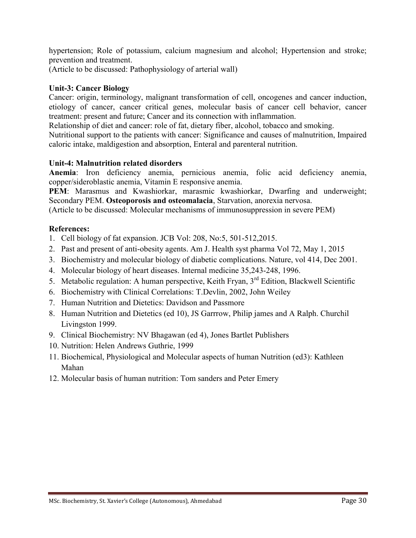hypertension; Role of potassium, calcium magnesium and alcohol; Hypertension and stroke; prevention and treatment.

(Article to be discussed: Pathophysiology of arterial wall)

## **Unit-3: Cancer Biology**

Cancer: origin, terminology, malignant transformation of cell, oncogenes and cancer induction, etiology of cancer, cancer critical genes, molecular basis of cancer cell behavior, cancer treatment: present and future; Cancer and its connection with inflammation.

Relationship of diet and cancer: role of fat, dietary fiber, alcohol, tobacco and smoking.

Nutritional support to the patients with cancer: Significance and causes of malnutrition, Impaired caloric intake, maldigestion and absorption, Enteral and parenteral nutrition.

## **Unit-4: Malnutrition related disorders**

**Anemia**: Iron deficiency anemia, pernicious anemia, folic acid deficiency anemia, copper/sideroblastic anemia, Vitamin E responsive anemia.

**PEM**: Marasmus and Kwashiorkar, marasmic kwashiorkar, Dwarfing and underweight; Secondary PEM. **Osteoporosis and osteomalacia**, Starvation, anorexia nervosa.

(Article to be discussed: Molecular mechanisms of immunosuppression in severe PEM)

- 1. Cell biology of fat expansion. JCB Vol: 208, No:5, 501-512,2015.
- 2. Past and present of anti-obesity agents. Am J. Health syst pharma Vol 72, May 1, 2015
- 3. Biochemistry and molecular biology of diabetic complications. Nature, vol 414, Dec 2001.
- 4. Molecular biology of heart diseases. Internal medicine 35,243-248, 1996.
- 5. Metabolic regulation: A human perspective, Keith Fryan, 3<sup>rd</sup> Edition, Blackwell Scientific
- 6. Biochemistry with Clinical Correlations: T.Devlin, 2002, John Weiley
- 7. Human Nutrition and Dietetics: Davidson and Passmore
- 8. Human Nutrition and Dietetics (ed 10), JS Garrrow, Philip james and A Ralph. Churchil Livingston 1999.
- 9. Clinical Biochemistry: NV Bhagawan (ed 4), Jones Bartlet Publishers
- 10. Nutrition: Helen Andrews Guthrie, 1999
- 11. Biochemical, Physiological and Molecular aspects of human Nutrition (ed3): Kathleen Mahan
- 12. Molecular basis of human nutrition: Tom sanders and Peter Emery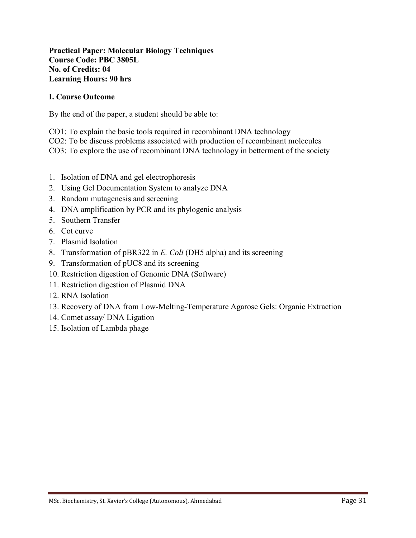#### **Practical Paper: Molecular Biology Techniques Course Code: PBC 3805L No. of Credits: 04 Learning Hours: 90 hrs**

## **I. Course Outcome**

By the end of the paper, a student should be able to:

CO1: To explain the basic tools required in recombinant DNA technology

CO2: To be discuss problems associated with production of recombinant molecules

CO3: To explore the use of recombinant DNA technology in betterment of the society

- 1. Isolation of DNA and gel electrophoresis
- 2. Using Gel Documentation System to analyze DNA
- 3. Random mutagenesis and screening
- 4. DNA amplification by PCR and its phylogenic analysis
- 5. Southern Transfer
- 6. Cot curve
- 7. Plasmid Isolation
- 8. Transformation of pBR322 in *E. Coli* (DH5 alpha) and its screening
- 9. Transformation of pUC8 and its screening
- 10. Restriction digestion of Genomic DNA (Software)
- 11. Restriction digestion of Plasmid DNA
- 12. RNA Isolation
- 13. Recovery of DNA from Low-Melting-Temperature Agarose Gels: Organic Extraction
- 14. Comet assay/ DNA Ligation
- 15. Isolation of Lambda phage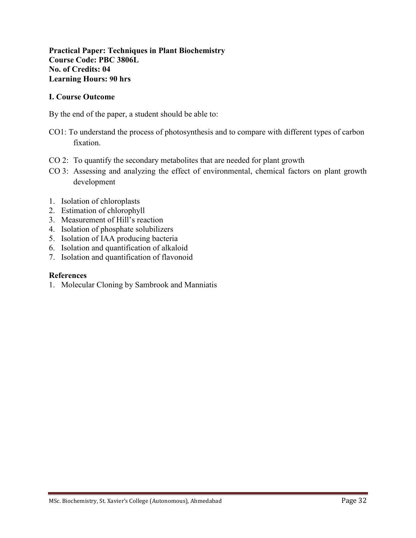#### **Practical Paper: Techniques in Plant Biochemistry Course Code: PBC 3806L No. of Credits: 04 Learning Hours: 90 hrs**

#### **I. Course Outcome**

By the end of the paper, a student should be able to:

- CO1: To understand the process of photosynthesis and to compare with different types of carbon fixation.
- CO 2: To quantify the secondary metabolites that are needed for plant growth
- CO 3: Assessing and analyzing the effect of environmental, chemical factors on plant growth development
- 1. Isolation of chloroplasts
- 2. Estimation of chlorophyll
- 3. Measurement of Hill's reaction
- 4. Isolation of phosphate solubilizers
- 5. Isolation of IAA producing bacteria
- 6. Isolation and quantification of alkaloid
- 7. Isolation and quantification of flavonoid

#### **References**

1. Molecular Cloning by Sambrook and Manniatis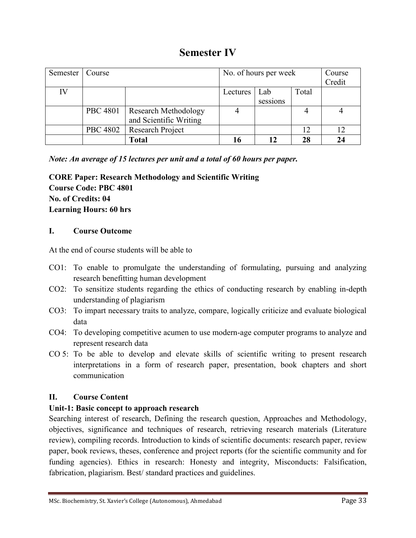## **Semester IV**

| Semester | Course          |                             | No. of hours per week |          |       | Course |
|----------|-----------------|-----------------------------|-----------------------|----------|-------|--------|
|          |                 |                             |                       |          |       | Credit |
| IV       |                 |                             | Lectures              | Lab      | Total |        |
|          |                 |                             |                       | sessions |       |        |
|          | <b>PBC 4801</b> | <b>Research Methodology</b> |                       |          |       |        |
|          |                 | and Scientific Writing      |                       |          |       |        |
|          | <b>PBC 4802</b> | <b>Research Project</b>     |                       |          | 12    | 12     |
|          |                 | <b>Total</b>                |                       |          | 28    | 24     |

*Note: An average of 15 lectures per unit and a total of 60 hours per paper.*

**CORE Paper: Research Methodology and Scientific Writing Course Code: PBC 4801 No. of Credits: 04 Learning Hours: 60 hrs**

## **I. Course Outcome**

At the end of course students will be able to

- CO1: To enable to promulgate the understanding of formulating, pursuing and analyzing research benefitting human development
- CO2: To sensitize students regarding the ethics of conducting research by enabling in-depth understanding of plagiarism
- CO3: To impart necessary traits to analyze, compare, logically criticize and evaluate biological data
- CO4: To developing competitive acumen to use modern-age computer programs to analyze and represent research data
- CO 5: To be able to develop and elevate skills of scientific writing to present research interpretations in a form of research paper, presentation, book chapters and short communication

## **II. Course Content**

## **Unit-1: Basic concept to approach research**

Searching interest of research, Defining the research question, Approaches and Methodology, objectives, significance and techniques of research, retrieving research materials (Literature review), compiling records. Introduction to kinds of scientific documents: research paper, review paper, book reviews, theses, conference and project reports (for the scientific community and for funding agencies). Ethics in research: Honesty and integrity, Misconducts: Falsification, fabrication, plagiarism. Best/ standard practices and guidelines.